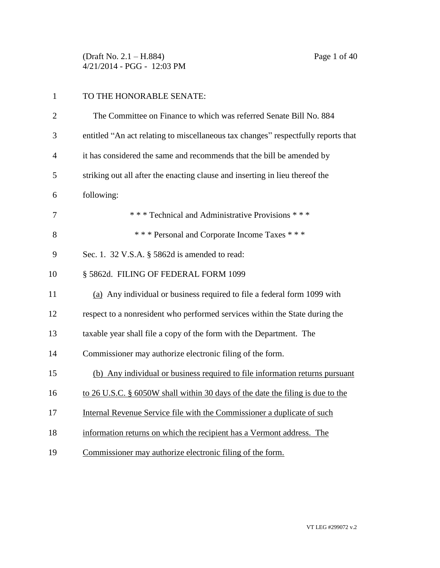$(Draft No. 2.1 - H.884)$  Page 1 of 40 4/21/2014 - PGG - 12:03 PM

# TO THE HONORABLE SENATE: The Committee on Finance to which was referred Senate Bill No. 884 entitled "An act relating to miscellaneous tax changes" respectfully reports that it has considered the same and recommends that the bill be amended by striking out all after the enacting clause and inserting in lieu thereof the following: \* \* \* Technical and Administrative Provisions \* \* \* 8 \* \* \* \* Personal and Corporate Income Taxes \* \* \* Sec. 1. 32 V.S.A. § 5862d is amended to read: § 5862d. FILING OF FEDERAL FORM 1099 (a) Any individual or business required to file a federal form 1099 with respect to a nonresident who performed services within the State during the taxable year shall file a copy of the form with the Department. The Commissioner may authorize electronic filing of the form. (b) Any individual or business required to file information returns pursuant to 26 U.S.C. § 6050W shall within 30 days of the date the filing is due to the Internal Revenue Service file with the Commissioner a duplicate of such information returns on which the recipient has a Vermont address. The Commissioner may authorize electronic filing of the form.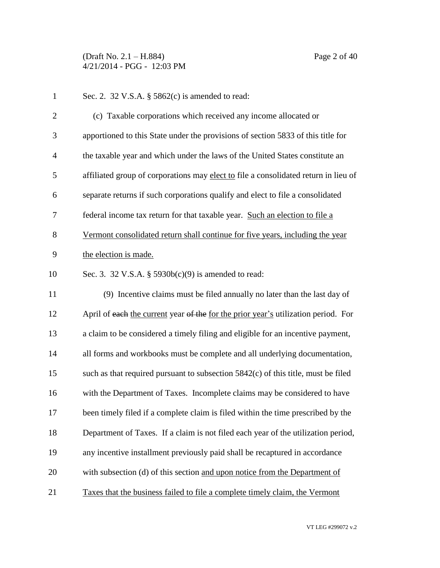(Draft No. 2.1 – H.884) Page 2 of 40 4/21/2014 - PGG - 12:03 PM

| $\mathbf{1}$   | Sec. 2. 32 V.S.A. § 5862(c) is amended to read:                                     |
|----------------|-------------------------------------------------------------------------------------|
| $\overline{2}$ | (c) Taxable corporations which received any income allocated or                     |
| 3              | apportioned to this State under the provisions of section 5833 of this title for    |
| $\overline{4}$ | the taxable year and which under the laws of the United States constitute an        |
| 5              | affiliated group of corporations may elect to file a consolidated return in lieu of |
| 6              | separate returns if such corporations qualify and elect to file a consolidated      |
| 7              | federal income tax return for that taxable year. Such an election to file a         |
| 8              | Vermont consolidated return shall continue for five years, including the year       |
| 9              | the election is made.                                                               |
| 10             | Sec. 3. 32 V.S.A. § $5930b(c)(9)$ is amended to read:                               |
| 11             | (9) Incentive claims must be filed annually no later than the last day of           |
| 12             | April of each the current year of the for the prior year's utilization period. For  |
| 13             | a claim to be considered a timely filing and eligible for an incentive payment,     |
| 14             | all forms and workbooks must be complete and all underlying documentation,          |
| 15             | such as that required pursuant to subsection 5842(c) of this title, must be filed   |
| 16             | with the Department of Taxes. Incomplete claims may be considered to have           |
| 17             | been timely filed if a complete claim is filed within the time prescribed by the    |
| 18             | Department of Taxes. If a claim is not filed each year of the utilization period,   |
| 19             | any incentive installment previously paid shall be recaptured in accordance         |
| 20             | with subsection (d) of this section and upon notice from the Department of          |
| 21             | Taxes that the business failed to file a complete timely claim, the Vermont         |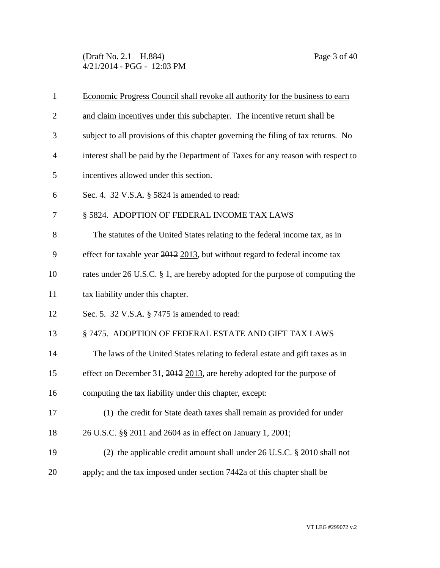(Draft No. 2.1 – H.884) Page 3 of 40 4/21/2014 - PGG - 12:03 PM

| $\mathbf{1}$   | Economic Progress Council shall revoke all authority for the business to earn      |
|----------------|------------------------------------------------------------------------------------|
| $\overline{2}$ | and claim incentives under this subchapter. The incentive return shall be          |
| 3              | subject to all provisions of this chapter governing the filing of tax returns. No  |
| $\overline{4}$ | interest shall be paid by the Department of Taxes for any reason with respect to   |
| 5              | incentives allowed under this section.                                             |
| 6              | Sec. 4. 32 V.S.A. § 5824 is amended to read:                                       |
| 7              | § 5824. ADOPTION OF FEDERAL INCOME TAX LAWS                                        |
| 8              | The statutes of the United States relating to the federal income tax, as in        |
| 9              | effect for taxable year $2012$ , $2013$ , but without regard to federal income tax |
| 10             | rates under 26 U.S.C. § 1, are hereby adopted for the purpose of computing the     |
| 11             | tax liability under this chapter.                                                  |
| 12             | Sec. 5. 32 V.S.A. § 7475 is amended to read:                                       |
| 13             | § 7475. ADOPTION OF FEDERAL ESTATE AND GIFT TAX LAWS                               |
| 14             | The laws of the United States relating to federal estate and gift taxes as in      |
| 15             | effect on December 31, $2012$ 2013, are hereby adopted for the purpose of          |
| 16             | computing the tax liability under this chapter, except:                            |
| 17             | (1) the credit for State death taxes shall remain as provided for under            |
| 18             | 26 U.S.C. §§ 2011 and 2604 as in effect on January 1, 2001;                        |
| 19             | (2) the applicable credit amount shall under $26$ U.S.C. $\S$ 2010 shall not       |
| 20             | apply; and the tax imposed under section 7442a of this chapter shall be            |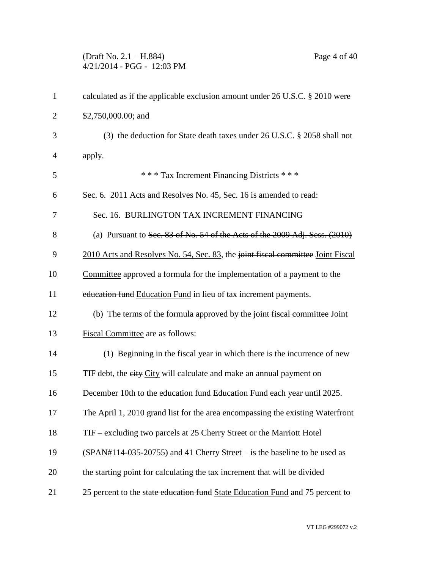(Draft No. 2.1 – H.884) Page 4 of 40 4/21/2014 - PGG - 12:03 PM

| $\mathbf{1}$   | calculated as if the applicable exclusion amount under 26 U.S.C. § 2010 were      |
|----------------|-----------------------------------------------------------------------------------|
| $\overline{2}$ | \$2,750,000.00; and                                                               |
| 3              | (3) the deduction for State death taxes under 26 U.S.C. § 2058 shall not          |
| 4              | apply.                                                                            |
| 5              | *** Tax Increment Financing Districts ***                                         |
| 6              | Sec. 6. 2011 Acts and Resolves No. 45, Sec. 16 is amended to read:                |
| 7              | Sec. 16. BURLINGTON TAX INCREMENT FINANCING                                       |
| 8              | (a) Pursuant to Sec. $83$ of No. $54$ of the Acts of the 2009 Adj. Sess. $(2010)$ |
| 9              | 2010 Acts and Resolves No. 54, Sec. 83, the joint fiscal committee Joint Fiscal   |
| 10             | Committee approved a formula for the implementation of a payment to the           |
| 11             | education fund Education Fund in lieu of tax increment payments.                  |
| 12             | (b) The terms of the formula approved by the joint fiscal committee Joint         |
| 13             | Fiscal Committee are as follows:                                                  |
| 14             | (1) Beginning in the fiscal year in which there is the incurrence of new          |
| 15             | TIF debt, the eity City will calculate and make an annual payment on              |
| 16             | December 10th to the education fund Education Fund each year until 2025.          |
| 17             | The April 1, 2010 grand list for the area encompassing the existing Waterfront    |
| 18             | TIF – excluding two parcels at 25 Cherry Street or the Marriott Hotel             |
| 19             | $(SPAN#114-035-20755)$ and 41 Cherry Street – is the baseline to be used as       |
| 20             | the starting point for calculating the tax increment that will be divided         |
| 21             | 25 percent to the state education fund State Education Fund and 75 percent to     |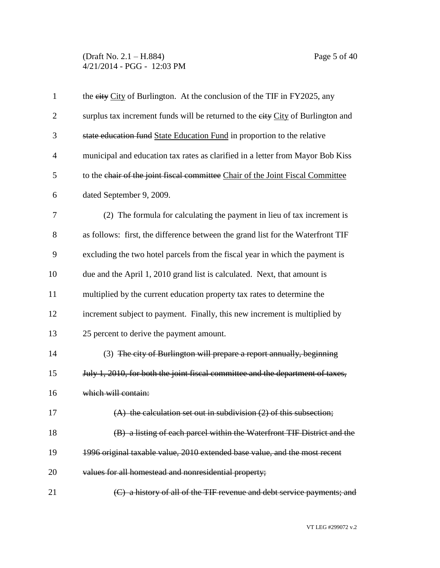(Draft No. 2.1 – H.884) Page 5 of 40 4/21/2014 - PGG - 12:03 PM

| $\mathbf{1}$   | the eity City of Burlington. At the conclusion of the TIF in FY2025, any        |
|----------------|---------------------------------------------------------------------------------|
| $\overline{2}$ | surplus tax increment funds will be returned to the eity City of Burlington and |
| 3              | state education fund State Education Fund in proportion to the relative         |
| $\overline{4}$ | municipal and education tax rates as clarified in a letter from Mayor Bob Kiss  |
| 5              | to the chair of the joint fiscal committee Chair of the Joint Fiscal Committee  |
| 6              | dated September 9, 2009.                                                        |
| 7              | (2) The formula for calculating the payment in lieu of tax increment is         |
| 8              | as follows: first, the difference between the grand list for the Waterfront TIF |
| 9              | excluding the two hotel parcels from the fiscal year in which the payment is    |
| 10             | due and the April 1, 2010 grand list is calculated. Next, that amount is        |
| 11             | multiplied by the current education property tax rates to determine the         |
| 12             | increment subject to payment. Finally, this new increment is multiplied by      |
| 13             | 25 percent to derive the payment amount.                                        |
| 14             | (3) The city of Burlington will prepare a report annually, beginning            |
| 15             | July 1, 2010, for both the joint fiscal committee and the department of taxes,  |
| 16             | which will contain:                                                             |
| 17             | $(A)$ the calculation set out in subdivision $(2)$ of this subsection;          |
| 18             | (B) a listing of each parcel within the Waterfront TIF District and the         |
| 19             | 1996 original taxable value, 2010 extended base value, and the most recent      |
| 20             | values for all homestead and nonresidential property;                           |
| 21             | (C) a history of all of the TIF revenue and debt service payments; and          |

VT LEG #299072 v.2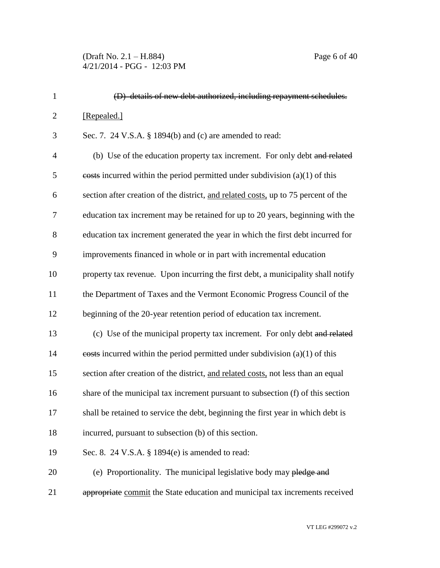(Draft No. 2.1 – H.884) Page 6 of 40 4/21/2014 - PGG - 12:03 PM

| $\mathbf{1}$   | (D) details of new debt authorized, including repayment schedules.                        |
|----------------|-------------------------------------------------------------------------------------------|
| $\overline{2}$ | [Repealed.]                                                                               |
| 3              | Sec. 7. 24 V.S.A. § 1894(b) and (c) are amended to read:                                  |
| $\overline{4}$ | (b) Use of the education property tax increment. For only debt and related                |
| 5              | $\frac{1}{2}$ eosts incurred within the period permitted under subdivision (a)(1) of this |
| 6              | section after creation of the district, and related costs, up to 75 percent of the        |
| 7              | education tax increment may be retained for up to 20 years, beginning with the            |
| 8              | education tax increment generated the year in which the first debt incurred for           |
| 9              | improvements financed in whole or in part with incremental education                      |
| 10             | property tax revenue. Upon incurring the first debt, a municipality shall notify          |
| 11             | the Department of Taxes and the Vermont Economic Progress Council of the                  |
| 12             | beginning of the 20-year retention period of education tax increment.                     |
| 13             | (c) Use of the municipal property tax increment. For only debt and related                |
| 14             | $\frac{1}{2}$ eosts incurred within the period permitted under subdivision (a)(1) of this |
| 15             | section after creation of the district, and related costs, not less than an equal         |
| 16             | share of the municipal tax increment pursuant to subsection (f) of this section           |
| 17             | shall be retained to service the debt, beginning the first year in which debt is          |
| 18             | incurred, pursuant to subsection (b) of this section.                                     |
| 19             | Sec. 8. 24 V.S.A. § 1894(e) is amended to read:                                           |
| 20             | (e) Proportionality. The municipal legislative body may pledge and                        |
| 21             | appropriate commit the State education and municipal tax increments received              |
|                |                                                                                           |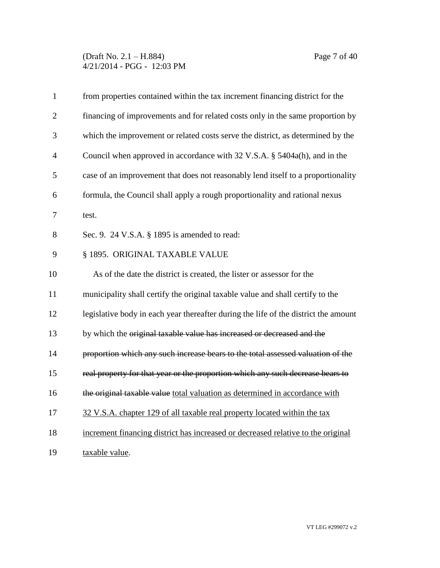(Draft No. 2.1 – H.884) Page 7 of 40 4/21/2014 - PGG - 12:03 PM

| $\mathbf{1}$   | from properties contained within the tax increment financing district for the       |
|----------------|-------------------------------------------------------------------------------------|
| $\mathbf{2}$   | financing of improvements and for related costs only in the same proportion by      |
| 3              | which the improvement or related costs serve the district, as determined by the     |
| $\overline{4}$ | Council when approved in accordance with 32 V.S.A. § 5404a(h), and in the           |
| 5              | case of an improvement that does not reasonably lend itself to a proportionality    |
| 6              | formula, the Council shall apply a rough proportionality and rational nexus         |
| 7              | test.                                                                               |
| 8              | Sec. 9. 24 V.S.A. § 1895 is amended to read:                                        |
| 9              | § 1895. ORIGINAL TAXABLE VALUE                                                      |
| 10             | As of the date the district is created, the lister or assessor for the              |
| 11             | municipality shall certify the original taxable value and shall certify to the      |
| 12             | legislative body in each year thereafter during the life of the district the amount |
| 13             | by which the original taxable value has increased or decreased and the              |
| 14             | proportion which any such increase bears to the total assessed valuation of the     |
| 15             | real property for that year or the proportion which any such decrease bears to      |
| 16             | the original taxable value total valuation as determined in accordance with         |
| 17             | 32 V.S.A. chapter 129 of all taxable real property located within the tax           |
| 18             | increment financing district has increased or decreased relative to the original    |
| 19             | taxable value.                                                                      |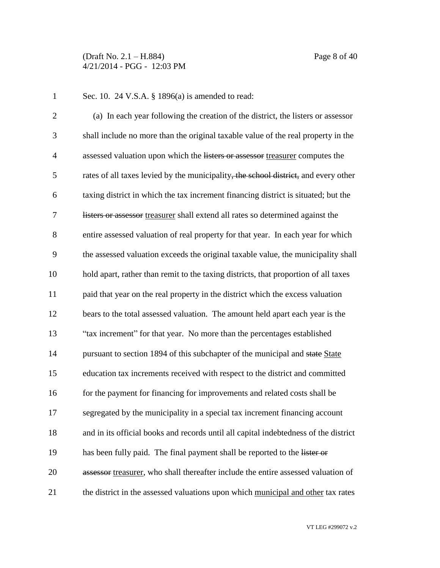(Draft No. 2.1 – H.884) Page 8 of 40 4/21/2014 - PGG - 12:03 PM

Sec. 10. 24 V.S.A. § 1896(a) is amended to read:

 (a) In each year following the creation of the district, the listers or assessor shall include no more than the original taxable value of the real property in the 4 assessed valuation upon which the listers or assessor treasurer computes the 5 rates of all taxes levied by the municipality, the school district, and every other taxing district in which the tax increment financing district is situated; but the listers or assessor treasurer shall extend all rates so determined against the entire assessed valuation of real property for that year. In each year for which the assessed valuation exceeds the original taxable value, the municipality shall hold apart, rather than remit to the taxing districts, that proportion of all taxes paid that year on the real property in the district which the excess valuation bears to the total assessed valuation. The amount held apart each year is the "tax increment" for that year. No more than the percentages established 14 pursuant to section 1894 of this subchapter of the municipal and state State education tax increments received with respect to the district and committed 16 for the payment for financing for improvements and related costs shall be segregated by the municipality in a special tax increment financing account and in its official books and records until all capital indebtedness of the district 19 has been fully paid. The final payment shall be reported to the lister or assessor treasurer, who shall thereafter include the entire assessed valuation of the district in the assessed valuations upon which municipal and other tax rates

VT LEG #299072 v.2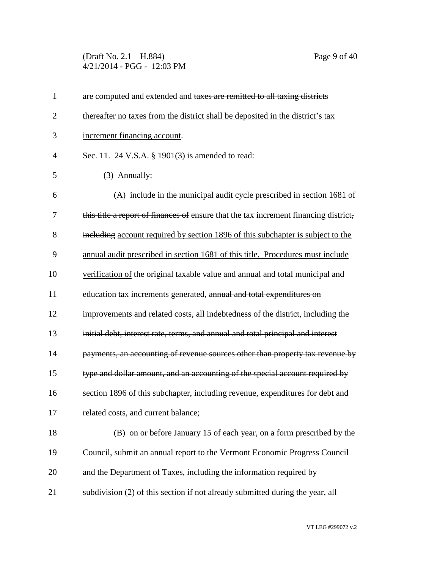(Draft No. 2.1 – H.884) Page 9 of 40 4/21/2014 - PGG - 12:03 PM

| 1              | are computed and extended and taxes are remitted to all taxing districts             |
|----------------|--------------------------------------------------------------------------------------|
| $\overline{2}$ | thereafter no taxes from the district shall be deposited in the district's tax       |
| 3              | increment financing account.                                                         |
| $\overline{4}$ | Sec. 11. 24 V.S.A. § 1901(3) is amended to read:                                     |
| 5              | (3) Annually:                                                                        |
| 6              | (A) include in the municipal audit cycle prescribed in section 1681 of               |
| 7              | this title a report of finances of ensure that the tax increment financing district, |
| 8              | including account required by section 1896 of this subchapter is subject to the      |
| 9              | annual audit prescribed in section 1681 of this title. Procedures must include       |
| 10             | verification of the original taxable value and annual and total municipal and        |
| 11             | education tax increments generated, annual and total expenditures on                 |
| 12             | improvements and related costs, all indebtedness of the district, including the      |
| 13             | initial debt, interest rate, terms, and annual and total principal and interest      |
| 14             | payments, an accounting of revenue sources other than property tax revenue by        |
| 15             | type and dollar amount, and an accounting of the special account required by         |
| 16             | section 1896 of this subchapter, including revenue, expenditures for debt and        |
| 17             | related costs, and current balance;                                                  |
| 18             | (B) on or before January 15 of each year, on a form prescribed by the                |
| 19             | Council, submit an annual report to the Vermont Economic Progress Council            |
| 20             | and the Department of Taxes, including the information required by                   |
| 21             | subdivision (2) of this section if not already submitted during the year, all        |
|                |                                                                                      |

VT LEG #299072 v.2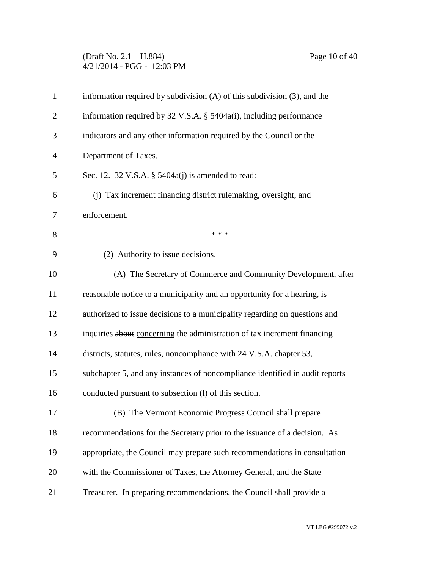## (Draft No. 2.1 – H.884) Page 10 of 40 4/21/2014 - PGG - 12:03 PM

| $\mathbf{1}$   | information required by subdivision $(A)$ of this subdivision $(3)$ , and the |
|----------------|-------------------------------------------------------------------------------|
| $\overline{2}$ | information required by 32 V.S.A. § 5404a(i), including performance           |
| 3              | indicators and any other information required by the Council or the           |
| $\overline{4}$ | Department of Taxes.                                                          |
| 5              | Sec. 12. 32 V.S.A. $\S$ 5404a(j) is amended to read:                          |
| 6              | (j) Tax increment financing district rulemaking, oversight, and               |
| 7              | enforcement.                                                                  |
| 8              | * * *                                                                         |
| 9              | (2) Authority to issue decisions.                                             |
| 10             | (A) The Secretary of Commerce and Community Development, after                |
| 11             | reasonable notice to a municipality and an opportunity for a hearing, is      |
| 12             | authorized to issue decisions to a municipality regarding on questions and    |
| 13             | inquiries about concerning the administration of tax increment financing      |
| 14             | districts, statutes, rules, noncompliance with 24 V.S.A. chapter 53,          |
| 15             | subchapter 5, and any instances of noncompliance identified in audit reports  |
| 16             | conducted pursuant to subsection (l) of this section.                         |
| 17             | (B) The Vermont Economic Progress Council shall prepare                       |
| 18             | recommendations for the Secretary prior to the issuance of a decision. As     |
| 19             | appropriate, the Council may prepare such recommendations in consultation     |
| 20             | with the Commissioner of Taxes, the Attorney General, and the State           |
| 21             | Treasurer. In preparing recommendations, the Council shall provide a          |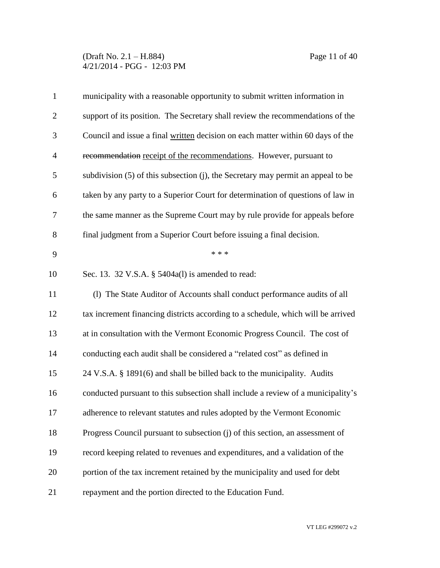#### (Draft No. 2.1 – H.884) Page 11 of 40 4/21/2014 - PGG - 12:03 PM

| $\mathbf{1}$   | municipality with a reasonable opportunity to submit written information in      |
|----------------|----------------------------------------------------------------------------------|
| $\overline{2}$ | support of its position. The Secretary shall review the recommendations of the   |
| 3              | Council and issue a final written decision on each matter within 60 days of the  |
| $\overline{4}$ | recommendation receipt of the recommendations. However, pursuant to              |
| 5              | subdivision (5) of this subsection (j), the Secretary may permit an appeal to be |
| 6              | taken by any party to a Superior Court for determination of questions of law in  |
| 7              | the same manner as the Supreme Court may by rule provide for appeals before      |
| 8              | final judgment from a Superior Court before issuing a final decision.            |
| 9              | * * *                                                                            |
| 10             | Sec. 13. 32 V.S.A. § 5404a(1) is amended to read:                                |
| 11             | (1) The State Auditor of Accounts shall conduct performance audits of all        |
| 12             | tax increment financing districts according to a schedule, which will be arrived |
| 13             | at in consultation with the Vermont Economic Progress Council. The cost of       |
| 14             | conducting each audit shall be considered a "related cost" as defined in         |
| 15             | 24 V.S.A. § 1891(6) and shall be billed back to the municipality. Audits         |
| 16             | conducted pursuant to this subsection shall include a review of a municipality's |
| 17             | adherence to relevant statutes and rules adopted by the Vermont Economic         |
| 18             | Progress Council pursuant to subsection (j) of this section, an assessment of    |
| 19             | record keeping related to revenues and expenditures, and a validation of the     |
| 20             | portion of the tax increment retained by the municipality and used for debt      |
| 21             | repayment and the portion directed to the Education Fund.                        |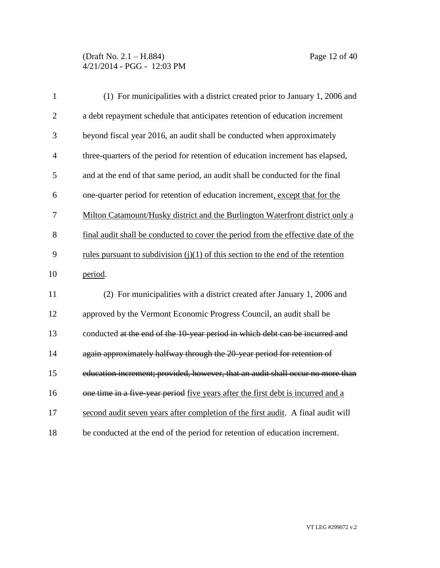| $\mathbf{1}$   | (1) For municipalities with a district created prior to January 1, 2006 and        |
|----------------|------------------------------------------------------------------------------------|
| $\overline{2}$ | a debt repayment schedule that anticipates retention of education increment        |
| 3              | beyond fiscal year 2016, an audit shall be conducted when approximately            |
| $\overline{4}$ | three-quarters of the period for retention of education increment has elapsed,     |
| 5              | and at the end of that same period, an audit shall be conducted for the final      |
| 6              | one-quarter period for retention of education increment, except that for the       |
| $\overline{7}$ | Milton Catamount/Husky district and the Burlington Waterfront district only a      |
| 8              | final audit shall be conducted to cover the period from the effective date of the  |
| 9              | rules pursuant to subdivision $(i)(1)$ of this section to the end of the retention |
| 10             | period.                                                                            |
| 11             | (2) For municipalities with a district created after January 1, 2006 and           |
| 12             | approved by the Vermont Economic Progress Council, an audit shall be               |
| 13             | conducted at the end of the 10-year period in which debt can be incurred and       |
| 14             | again approximately halfway through the 20-year period for retention of            |
| 15             | education increment; provided, however, that an audit shall occur no more than     |
| 16             | one time in a five-year period five years after the first debt is incurred and a   |
| 17             | second audit seven years after completion of the first audit. A final audit will   |
| 18             | be conducted at the end of the period for retention of education increment.        |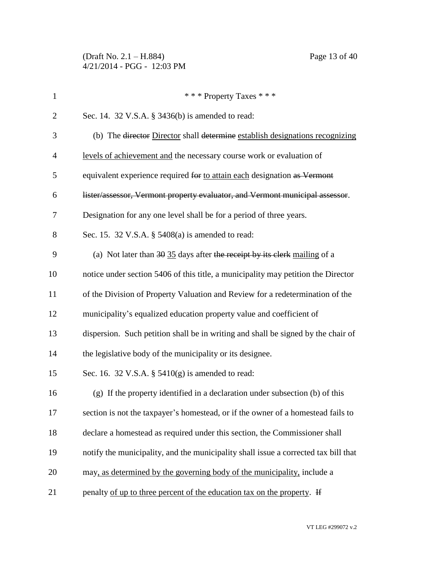(Draft No. 2.1 – H.884) Page 13 of 40 4/21/2014 - PGG - 12:03 PM

| $\mathbf{1}$   | *** Property Taxes ***                                                                 |
|----------------|----------------------------------------------------------------------------------------|
| $\overline{2}$ | Sec. 14. 32 V.S.A. § 3436(b) is amended to read:                                       |
| 3              | (b) The director Director shall determine establish designations recognizing           |
| $\overline{4}$ | levels of achievement and the necessary course work or evaluation of                   |
| 5              | equivalent experience required for to attain each designation as Vermont               |
| 6              | lister/assessor, Vermont property evaluator, and Vermont municipal assessor.           |
| 7              | Designation for any one level shall be for a period of three years.                    |
| 8              | Sec. 15. 32 V.S.A. § 5408(a) is amended to read:                                       |
| 9              | (a) Not later than $30 \overline{35}$ days after the receipt by its clerk mailing of a |
| 10             | notice under section 5406 of this title, a municipality may petition the Director      |
| 11             | of the Division of Property Valuation and Review for a redetermination of the          |
| 12             | municipality's equalized education property value and coefficient of                   |
| 13             | dispersion. Such petition shall be in writing and shall be signed by the chair of      |
| 14             | the legislative body of the municipality or its designee.                              |
| 15             | Sec. 16. 32 V.S.A. $\S$ 5410(g) is amended to read:                                    |
| 16             | (g) If the property identified in a declaration under subsection (b) of this           |
| 17             | section is not the taxpayer's homestead, or if the owner of a homestead fails to       |
| 18             | declare a homestead as required under this section, the Commissioner shall             |
| 19             | notify the municipality, and the municipality shall issue a corrected tax bill that    |
| 20             | may, as determined by the governing body of the municipality, include a                |
| 21             | penalty of up to three percent of the education tax on the property. If                |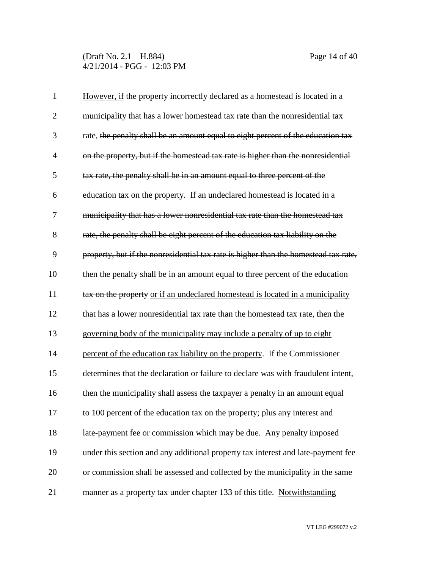(Draft No. 2.1 – H.884) Page 14 of 40 4/21/2014 - PGG - 12:03 PM

| $\mathbf{1}$   | However, if the property incorrectly declared as a homestead is located in a        |
|----------------|-------------------------------------------------------------------------------------|
| $\overline{2}$ | municipality that has a lower homestead tax rate than the nonresidential tax        |
| 3              | rate, the penalty shall be an amount equal to eight percent of the education tax    |
| $\overline{4}$ | on the property, but if the homestead tax rate is higher than the nonresidential    |
| 5              | tax rate, the penalty shall be in an amount equal to three percent of the           |
| 6              | education tax on the property. If an undeclared homestead is located in a           |
| 7              | municipality that has a lower nonresidential tax rate than the homestead tax        |
| 8              | rate, the penalty shall be eight percent of the education tax liability on the      |
| 9              | property, but if the nonresidential tax rate is higher than the homestead tax rate, |
| 10             | then the penalty shall be in an amount equal to three percent of the education      |
| 11             | tax on the property or if an undeclared homestead is located in a municipality      |
| 12             | that has a lower nonresidential tax rate than the homestead tax rate, then the      |
| 13             | governing body of the municipality may include a penalty of up to eight             |
| 14             | percent of the education tax liability on the property. If the Commissioner         |
| 15             | determines that the declaration or failure to declare was with fraudulent intent,   |
| 16             | then the municipality shall assess the taxpayer a penalty in an amount equal        |
| 17             | to 100 percent of the education tax on the property; plus any interest and          |
| 18             | late-payment fee or commission which may be due. Any penalty imposed                |
| 19             | under this section and any additional property tax interest and late-payment fee    |
| 20             | or commission shall be assessed and collected by the municipality in the same       |
| 21             | manner as a property tax under chapter 133 of this title. Notwithstanding           |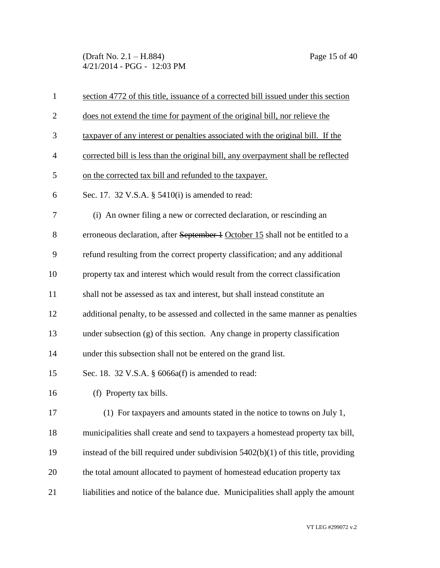(Draft No. 2.1 – H.884) Page 15 of 40 4/21/2014 - PGG - 12:03 PM

| $\mathbf{1}$   | section 4772 of this title, issuance of a corrected bill issued under this section   |
|----------------|--------------------------------------------------------------------------------------|
| $\overline{2}$ | does not extend the time for payment of the original bill, nor relieve the           |
| 3              | taxpayer of any interest or penalties associated with the original bill. If the      |
| $\overline{4}$ | corrected bill is less than the original bill, any overpayment shall be reflected    |
| 5              | on the corrected tax bill and refunded to the taxpayer.                              |
| 6              | Sec. 17. 32 V.S.A. $\S$ 5410(i) is amended to read:                                  |
| 7              | (i) An owner filing a new or corrected declaration, or rescinding an                 |
| $8\,$          | erroneous declaration, after September 4 October 15 shall not be entitled to a       |
| 9              | refund resulting from the correct property classification; and any additional        |
| 10             | property tax and interest which would result from the correct classification         |
| 11             | shall not be assessed as tax and interest, but shall instead constitute an           |
| 12             | additional penalty, to be assessed and collected in the same manner as penalties     |
| 13             | under subsection (g) of this section. Any change in property classification          |
| 14             | under this subsection shall not be entered on the grand list.                        |
| 15             | Sec. 18. 32 V.S.A. $\S$ 6066a(f) is amended to read:                                 |
| 16             | (f) Property tax bills.                                                              |
| 17             | (1) For taxpayers and amounts stated in the notice to towns on July 1,               |
| 18             | municipalities shall create and send to taxpayers a homestead property tax bill,     |
| 19             | instead of the bill required under subdivision $5402(b)(1)$ of this title, providing |
| 20             | the total amount allocated to payment of homestead education property tax            |
| 21             | liabilities and notice of the balance due. Municipalities shall apply the amount     |
|                |                                                                                      |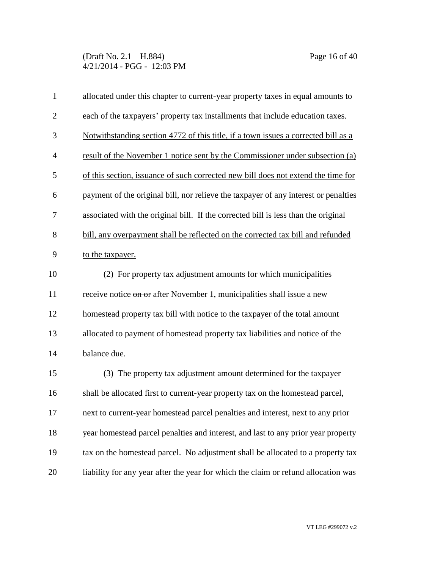(Draft No. 2.1 – H.884) Page 16 of 40 4/21/2014 - PGG - 12:03 PM

| $\mathbf{1}$   | allocated under this chapter to current-year property taxes in equal amounts to     |
|----------------|-------------------------------------------------------------------------------------|
| $\overline{2}$ | each of the taxpayers' property tax installments that include education taxes.      |
| 3              | Notwithstanding section 4772 of this title, if a town issues a corrected bill as a  |
| $\overline{4}$ | result of the November 1 notice sent by the Commissioner under subsection (a)       |
| 5              | of this section, issuance of such corrected new bill does not extend the time for   |
| 6              | payment of the original bill, nor relieve the taxpayer of any interest or penalties |
| 7              | associated with the original bill. If the corrected bill is less than the original  |
| 8              | bill, any overpayment shall be reflected on the corrected tax bill and refunded     |
| 9              | to the taxpayer.                                                                    |
| 10             | (2) For property tax adjustment amounts for which municipalities                    |
| 11             | receive notice on or after November 1, municipalities shall issue a new             |
| 12             | homestead property tax bill with notice to the taxpayer of the total amount         |
| 13             | allocated to payment of homestead property tax liabilities and notice of the        |
| 14             | balance due.                                                                        |
| 15             | (3) The property tax adjustment amount determined for the taxpayer                  |
| 16             | shall be allocated first to current-year property tax on the homestead parcel,      |
| 17             | next to current-year homestead parcel penalties and interest, next to any prior     |
| 18             | year homestead parcel penalties and interest, and last to any prior year property   |
| 19             | tax on the homestead parcel. No adjustment shall be allocated to a property tax     |
| 20             | liability for any year after the year for which the claim or refund allocation was  |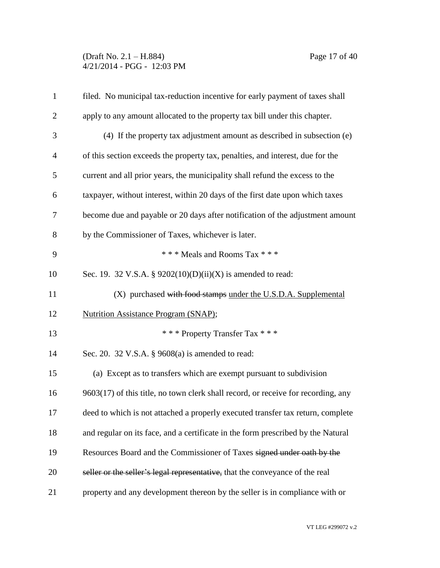(Draft No. 2.1 – H.884) Page 17 of 40 4/21/2014 - PGG - 12:03 PM

| $\mathbf{1}$   | filed. No municipal tax-reduction incentive for early payment of taxes shall      |
|----------------|-----------------------------------------------------------------------------------|
| $\overline{2}$ | apply to any amount allocated to the property tax bill under this chapter.        |
| 3              | (4) If the property tax adjustment amount as described in subsection (e)          |
| $\overline{4}$ | of this section exceeds the property tax, penalties, and interest, due for the    |
| 5              | current and all prior years, the municipality shall refund the excess to the      |
| 6              | taxpayer, without interest, within 20 days of the first date upon which taxes     |
| 7              | become due and payable or 20 days after notification of the adjustment amount     |
| 8              | by the Commissioner of Taxes, whichever is later.                                 |
| 9              | *** Meals and Rooms Tax ***                                                       |
| 10             | Sec. 19. 32 V.S.A. § 9202(10)(D)(ii)(X) is amended to read:                       |
| 11             | (X) purchased with food stamps under the U.S.D.A. Supplemental                    |
| 12             | <b>Nutrition Assistance Program (SNAP);</b>                                       |
| 13             | *** Property Transfer Tax ***                                                     |
| 14             | Sec. 20. 32 V.S.A. § 9608(a) is amended to read:                                  |
| 15             | (a) Except as to transfers which are exempt pursuant to subdivision               |
| 16             | 9603(17) of this title, no town clerk shall record, or receive for recording, any |
| 17             | deed to which is not attached a properly executed transfer tax return, complete   |
| 18             | and regular on its face, and a certificate in the form prescribed by the Natural  |
| 19             | Resources Board and the Commissioner of Taxes signed under oath by the            |
| 20             | seller or the seller's legal representative, that the conveyance of the real      |
| 21             | property and any development thereon by the seller is in compliance with or       |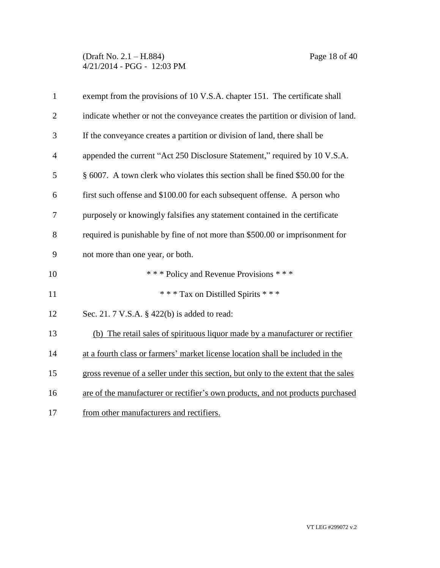(Draft No. 2.1 – H.884) Page 18 of 40 4/21/2014 - PGG - 12:03 PM

| $\mathbf{1}$   | exempt from the provisions of 10 V.S.A. chapter 151. The certificate shall          |
|----------------|-------------------------------------------------------------------------------------|
| $\overline{2}$ | indicate whether or not the conveyance creates the partition or division of land.   |
| 3              | If the conveyance creates a partition or division of land, there shall be           |
| $\overline{4}$ | appended the current "Act 250 Disclosure Statement," required by 10 V.S.A.          |
| 5              | § 6007. A town clerk who violates this section shall be fined \$50.00 for the       |
| 6              | first such offense and \$100.00 for each subsequent offense. A person who           |
| $\overline{7}$ | purposely or knowingly falsifies any statement contained in the certificate         |
| 8              | required is punishable by fine of not more than \$500.00 or imprisonment for        |
| 9              | not more than one year, or both.                                                    |
| 10             | * * * Policy and Revenue Provisions * * *                                           |
| 11             | *** Tax on Distilled Spirits ***                                                    |
| 12             | Sec. 21. 7 V.S.A. § 422(b) is added to read:                                        |
| 13             | (b) The retail sales of spirituous liquor made by a manufacturer or rectifier       |
| 14             | at a fourth class or farmers' market license location shall be included in the      |
| 15             | gross revenue of a seller under this section, but only to the extent that the sales |
| 16             | are of the manufacturer or rectifier's own products, and not products purchased     |
| 17             | from other manufacturers and rectifiers.                                            |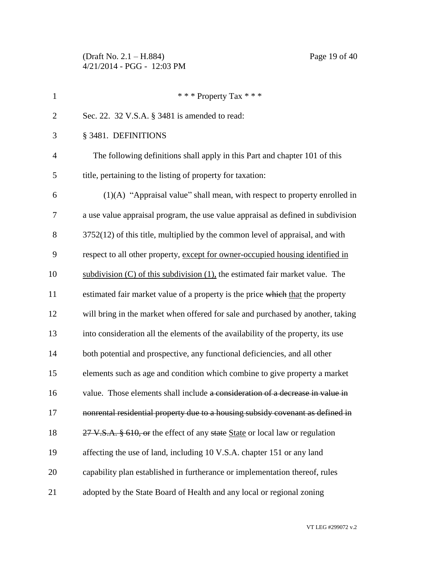(Draft No. 2.1 – H.884) Page 19 of 40 4/21/2014 - PGG - 12:03 PM

| $\mathbf{1}$   | *** Property Tax ***                                                               |
|----------------|------------------------------------------------------------------------------------|
| $\overline{2}$ | Sec. 22. 32 V.S.A. § 3481 is amended to read:                                      |
| 3              | § 3481. DEFINITIONS                                                                |
| 4              | The following definitions shall apply in this Part and chapter 101 of this         |
| 5              | title, pertaining to the listing of property for taxation:                         |
| 6              | $(1)(A)$ "Appraisal value" shall mean, with respect to property enrolled in        |
| 7              | a use value appraisal program, the use value appraisal as defined in subdivision   |
| 8              | $3752(12)$ of this title, multiplied by the common level of appraisal, and with    |
| 9              | respect to all other property, except for owner-occupied housing identified in     |
| 10             | subdivision $(C)$ of this subdivision $(1)$ , the estimated fair market value. The |
| 11             | estimated fair market value of a property is the price which that the property     |
| 12             | will bring in the market when offered for sale and purchased by another, taking    |
| 13             | into consideration all the elements of the availability of the property, its use   |
| 14             | both potential and prospective, any functional deficiencies, and all other         |
| 15             | elements such as age and condition which combine to give property a market         |
| 16             | value. Those elements shall include a consideration of a decrease in value in      |
| 17             | nonrental residential property due to a housing subsidy covenant as defined in     |
| 18             | 27 V.S.A. § 610, or the effect of any state State or local law or regulation       |
| 19             | affecting the use of land, including 10 V.S.A. chapter 151 or any land             |
| 20             | capability plan established in furtherance or implementation thereof, rules        |
| 21             | adopted by the State Board of Health and any local or regional zoning              |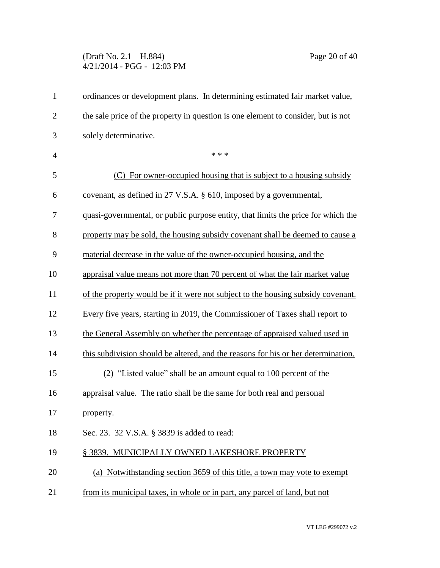# (Draft No. 2.1 – H.884) Page 20 of 40 4/21/2014 - PGG - 12:03 PM

| $\mathbf{1}$   | ordinances or development plans. In determining estimated fair market value,      |
|----------------|-----------------------------------------------------------------------------------|
| $\overline{2}$ | the sale price of the property in question is one element to consider, but is not |
| 3              | solely determinative.                                                             |
| $\overline{4}$ | * * *                                                                             |
| 5              | For owner-occupied housing that is subject to a housing subsidy<br>(C)            |
| 6              | covenant, as defined in 27 V.S.A. § 610, imposed by a governmental,               |
| 7              | quasi-governmental, or public purpose entity, that limits the price for which the |
| 8              | property may be sold, the housing subsidy covenant shall be deemed to cause a     |
| 9              | material decrease in the value of the owner-occupied housing, and the             |
| 10             | appraisal value means not more than 70 percent of what the fair market value      |
| 11             | of the property would be if it were not subject to the housing subsidy covenant.  |
| 12             | Every five years, starting in 2019, the Commissioner of Taxes shall report to     |
| 13             | the General Assembly on whether the percentage of appraised valued used in        |
| 14             | this subdivision should be altered, and the reasons for his or her determination. |
| 15             | (2) "Listed value" shall be an amount equal to 100 percent of the                 |
| 16             | appraisal value. The ratio shall be the same for both real and personal           |
| 17             | property.                                                                         |
| 18             | Sec. 23. 32 V.S.A. § 3839 is added to read:                                       |
| 19             | § 3839. MUNICIPALLY OWNED LAKESHORE PROPERTY                                      |
| 20             | (a) Notwithstanding section 3659 of this title, a town may vote to exempt         |
| 21             | from its municipal taxes, in whole or in part, any parcel of land, but not        |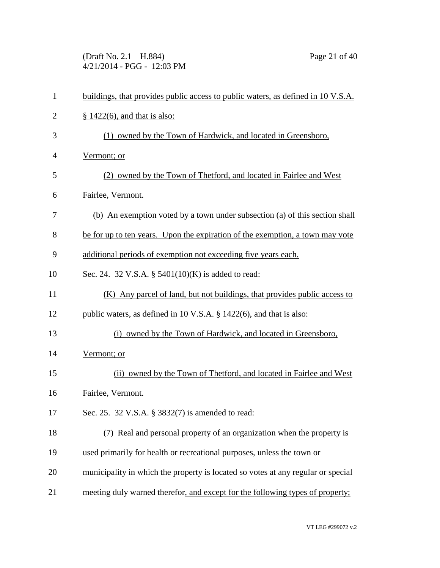(Draft No. 2.1 – H.884) Page 21 of 40 4/21/2014 - PGG - 12:03 PM

| $\mathbf{1}$   | buildings, that provides public access to public waters, as defined in 10 V.S.A. |
|----------------|----------------------------------------------------------------------------------|
| $\overline{2}$ | $§ 1422(6)$ , and that is also:                                                  |
| 3              | (1) owned by the Town of Hardwick, and located in Greensboro,                    |
| $\overline{4}$ | Vermont; or                                                                      |
| 5              | (2) owned by the Town of Thetford, and located in Fairlee and West               |
| 6              | Fairlee, Vermont.                                                                |
| 7              | (b) An exemption voted by a town under subsection (a) of this section shall      |
| 8              | be for up to ten years. Upon the expiration of the exemption, a town may vote    |
| 9              | additional periods of exemption not exceeding five years each.                   |
| 10             | Sec. 24. 32 V.S.A. § 5401(10)(K) is added to read:                               |
| 11             | (K) Any parcel of land, but not buildings, that provides public access to        |
| 12             | public waters, as defined in 10 V.S.A. § 1422(6), and that is also:              |
| 13             | (i) owned by the Town of Hardwick, and located in Greensboro,                    |
| 14             | Vermont; or                                                                      |
| 15             | (ii) owned by the Town of Thetford, and located in Fairlee and West              |
| 16             | Fairlee, Vermont.                                                                |
| 17             | Sec. 25. 32 V.S.A. § 3832(7) is amended to read:                                 |
| 18             | (7) Real and personal property of an organization when the property is           |
| 19             | used primarily for health or recreational purposes, unless the town or           |
| 20             | municipality in which the property is located so votes at any regular or special |
| 21             | meeting duly warned therefor, and except for the following types of property;    |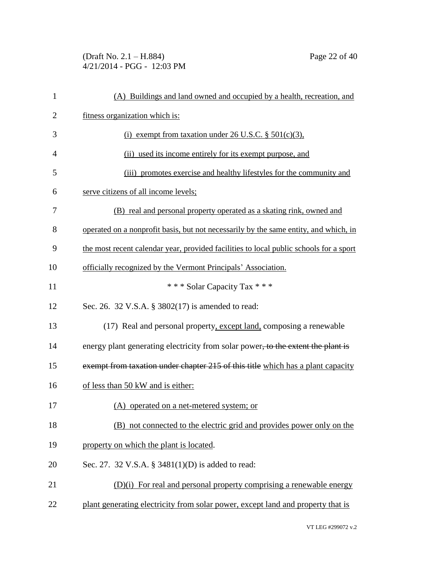#### (Draft No. 2.1 – H.884) Page 22 of 40 4/21/2014 - PGG - 12:03 PM

| $\mathbf{1}$   | (A) Buildings and land owned and occupied by a health, recreation, and                 |
|----------------|----------------------------------------------------------------------------------------|
| $\overline{2}$ | fitness organization which is:                                                         |
| 3              | (i) exempt from taxation under 26 U.S.C. $\S$ 501(c)(3),                               |
| 4              | (ii) used its income entirely for its exempt purpose, and                              |
| 5              | (iii) promotes exercise and healthy lifestyles for the community and                   |
| 6              | serve citizens of all income levels;                                                   |
| 7              | (B) real and personal property operated as a skating rink, owned and                   |
| 8              | operated on a nonprofit basis, but not necessarily by the same entity, and which, in   |
| 9              | the most recent calendar year, provided facilities to local public schools for a sport |
| 10             | officially recognized by the Vermont Principals' Association.                          |
| 11             | *** Solar Capacity Tax ***                                                             |
| 12             | Sec. 26. 32 V.S.A. § 3802(17) is amended to read:                                      |
| 13             | (17) Real and personal property, except land, composing a renewable                    |
| 14             | energy plant generating electricity from solar power, to the extent the plant is       |
| 15             | exempt from taxation under chapter 215 of this title which has a plant capacity        |
| 16             | of less than 50 kW and is either:                                                      |
| 17             | (A) operated on a net-metered system; or                                               |
| 18             | (B) not connected to the electric grid and provides power only on the                  |
| 19             | property on which the plant is located.                                                |
| 20             | Sec. 27. 32 V.S.A. § 3481(1)(D) is added to read:                                      |
| 21             | $(D)(i)$ For real and personal property comprising a renewable energy                  |
| 22             | plant generating electricity from solar power, except land and property that is        |
|                |                                                                                        |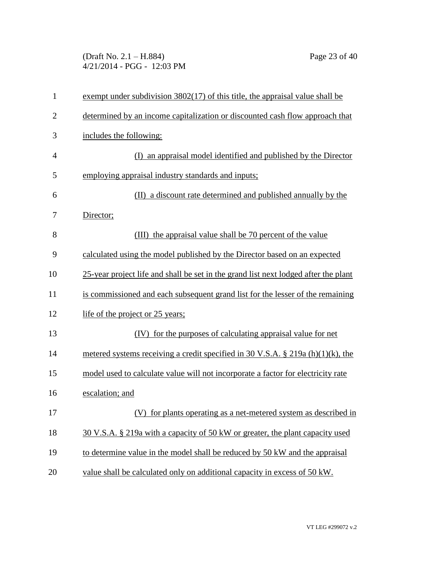(Draft No. 2.1 – H.884) Page 23 of 40 4/21/2014 - PGG - 12:03 PM

| $\mathbf{1}$   | exempt under subdivision $3802(17)$ of this title, the appraisal value shall be     |
|----------------|-------------------------------------------------------------------------------------|
| $\overline{2}$ | determined by an income capitalization or discounted cash flow approach that        |
| 3              | includes the following:                                                             |
| $\overline{4}$ | (I) an appraisal model identified and published by the Director                     |
| 5              | employing appraisal industry standards and inputs;                                  |
| 6              | (II) a discount rate determined and published annually by the                       |
| 7              | Director;                                                                           |
| 8              | the appraisal value shall be 70 percent of the value<br>(III)                       |
| 9              | calculated using the model published by the Director based on an expected           |
| 10             | 25-year project life and shall be set in the grand list next lodged after the plant |
| 11             | is commissioned and each subsequent grand list for the lesser of the remaining      |
| 12             | life of the project or 25 years;                                                    |
| 13             | (IV) for the purposes of calculating appraisal value for net                        |
| 14             | metered systems receiving a credit specified in 30 V.S.A. § 219a (h)(1)(k), the     |
| 15             | model used to calculate value will not incorporate a factor for electricity rate    |
| 16             | escalation; and                                                                     |
| 17             | (V) for plants operating as a net-metered system as described in                    |
| 18             | 30 V.S.A. § 219a with a capacity of 50 kW or greater, the plant capacity used       |
| 19             | to determine value in the model shall be reduced by 50 kW and the appraisal         |
| 20             | value shall be calculated only on additional capacity in excess of 50 kW.           |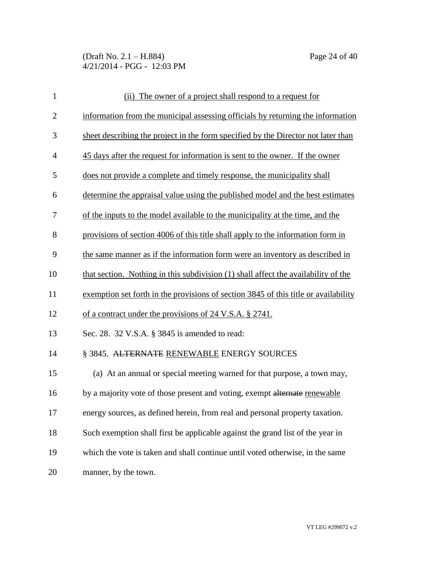(Draft No. 2.1 – H.884) Page 24 of 40 4/21/2014 - PGG - 12:03 PM

| $\mathbf{1}$   | (ii) The owner of a project shall respond to a request for                          |
|----------------|-------------------------------------------------------------------------------------|
| $\overline{2}$ | information from the municipal assessing officials by returning the information     |
| 3              | sheet describing the project in the form specified by the Director not later than   |
| $\overline{4}$ | 45 days after the request for information is sent to the owner. If the owner        |
| 5              | does not provide a complete and timely response, the municipality shall             |
| 6              | determine the appraisal value using the published model and the best estimates      |
| 7              | of the inputs to the model available to the municipality at the time, and the       |
| 8              | provisions of section 4006 of this title shall apply to the information form in     |
| 9              | the same manner as if the information form were an inventory as described in        |
| 10             | that section. Nothing in this subdivision (1) shall affect the availability of the  |
| 11             | exemption set forth in the provisions of section 3845 of this title or availability |
| 12             | of a contract under the provisions of 24 V.S.A. § 2741.                             |
| 13             | Sec. 28. 32 V.S.A. § 3845 is amended to read:                                       |
| 14             | § 3845. ALTERNATE RENEWABLE ENERGY SOURCES                                          |
| 15             | (a) At an annual or special meeting warned for that purpose, a town may,            |
| 16             | by a majority vote of those present and voting, exempt alternate renewable          |
| 17             | energy sources, as defined herein, from real and personal property taxation.        |
| 18             | Such exemption shall first be applicable against the grand list of the year in      |
| 19             | which the vote is taken and shall continue until voted otherwise, in the same       |
| 20             | manner, by the town.                                                                |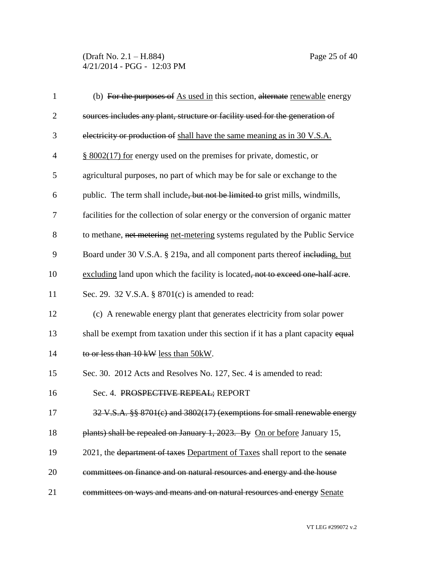| $\mathbf{1}$   | (b) For the purposes of As used in this section, alternate renewable energy       |
|----------------|-----------------------------------------------------------------------------------|
| $\overline{2}$ | sources includes any plant, structure or facility used for the generation of      |
| 3              | electricity or production of shall have the same meaning as in 30 V.S.A.          |
| $\overline{4}$ | $\frac{8}{9}$ 8002(17) for energy used on the premises for private, domestic, or  |
| 5              | agricultural purposes, no part of which may be for sale or exchange to the        |
| 6              | public. The term shall include, but not be limited to grist mills, windmills,     |
| 7              | facilities for the collection of solar energy or the conversion of organic matter |
| 8              | to methane, net metering net-metering systems regulated by the Public Service     |
| 9              | Board under 30 V.S.A. § 219a, and all component parts thereof including, but      |
| 10             | excluding land upon which the facility is located, not to exceed one-half acre.   |
| 11             | Sec. 29. 32 V.S.A. § 8701(c) is amended to read:                                  |
| 12             | (c) A renewable energy plant that generates electricity from solar power          |
| 13             | shall be exempt from taxation under this section if it has a plant capacity equal |
| 14             | to or less than 10 kW less than 50kW.                                             |
| 15             | Sec. 30. 2012 Acts and Resolves No. 127, Sec. 4 is amended to read:               |
| 16             | Sec. 4. PROSPECTIVE REPEAL; REPORT                                                |
| 17             | 32 V.S.A. §§ 8701(c) and 3802(17) (exemptions for small renewable energy          |
| 18             | plants) shall be repealed on January 1, 2023. By On or before January 15,         |
| 19             | 2021, the department of taxes Department of Taxes shall report to the senate      |
| 20             | committees on finance and on natural resources and energy and the house           |
| 21             | committees on ways and means and on natural resources and energy Senate           |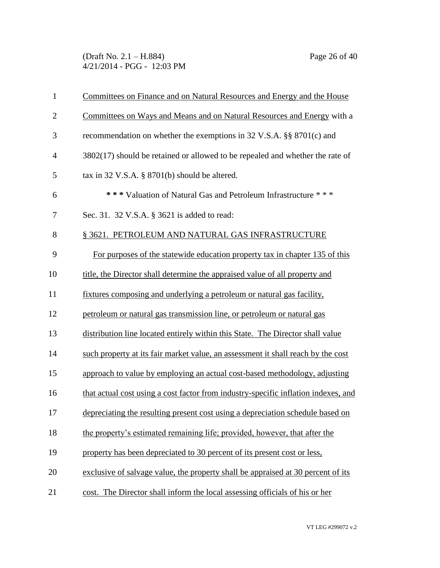(Draft No. 2.1 – H.884) Page 26 of 40 4/21/2014 - PGG - 12:03 PM

| $\mathbf{1}$   | Committees on Finance and on Natural Resources and Energy and the House            |
|----------------|------------------------------------------------------------------------------------|
| $\overline{2}$ | Committees on Ways and Means and on Natural Resources and Energy with a            |
| 3              | recommendation on whether the exemptions in 32 V.S.A. $\S$ 8701(c) and             |
| $\overline{4}$ | 3802(17) should be retained or allowed to be repealed and whether the rate of      |
| 5              | tax in $32$ V.S.A. § $8701(b)$ should be altered.                                  |
| 6              | *** Valuation of Natural Gas and Petroleum Infrastructure ***                      |
| 7              | Sec. 31. 32 V.S.A. § 3621 is added to read:                                        |
| 8              | § 3621. PETROLEUM AND NATURAL GAS INFRASTRUCTURE                                   |
| 9              | For purposes of the statewide education property tax in chapter 135 of this        |
| 10             | title, the Director shall determine the appraised value of all property and        |
| 11             | fixtures composing and underlying a petroleum or natural gas facility,             |
| 12             | petroleum or natural gas transmission line, or petroleum or natural gas            |
| 13             | distribution line located entirely within this State. The Director shall value     |
| 14             | such property at its fair market value, an assessment it shall reach by the cost   |
| 15             | approach to value by employing an actual cost-based methodology, adjusting         |
| 16             | that actual cost using a cost factor from industry-specific inflation indexes, and |
| 17             | depreciating the resulting present cost using a depreciation schedule based on     |
| 18             | the property's estimated remaining life; provided, however, that after the         |
| 19             | property has been depreciated to 30 percent of its present cost or less,           |
| 20             | exclusive of salvage value, the property shall be appraised at 30 percent of its   |
| 21             | cost. The Director shall inform the local assessing officials of his or her        |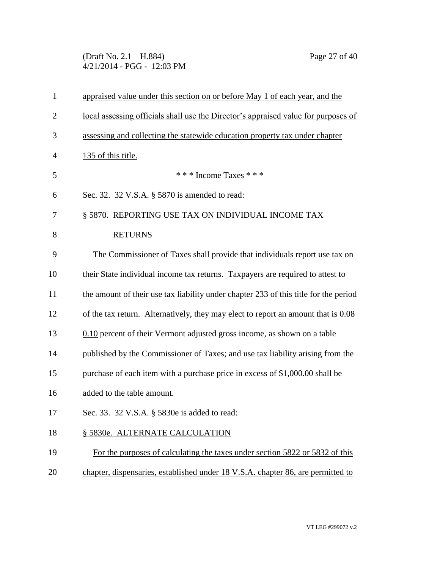(Draft No. 2.1 – H.884) Page 27 of 40 4/21/2014 - PGG - 12:03 PM

| $\mathbf{1}$   | appraised value under this section on or before May 1 of each year, and the               |
|----------------|-------------------------------------------------------------------------------------------|
| $\overline{2}$ | <u>local assessing officials shall use the Director's appraised value for purposes of</u> |
| 3              | assessing and collecting the statewide education property tax under chapter               |
| $\overline{4}$ | 135 of this title.                                                                        |
| 5              | *** Income Taxes ***                                                                      |
| 6              | Sec. 32. 32 V.S.A. § 5870 is amended to read:                                             |
| 7              | § 5870. REPORTING USE TAX ON INDIVIDUAL INCOME TAX                                        |
| 8              | <b>RETURNS</b>                                                                            |
| 9              | The Commissioner of Taxes shall provide that individuals report use tax on                |
| 10             | their State individual income tax returns. Taxpayers are required to attest to            |
| 11             | the amount of their use tax liability under chapter 233 of this title for the period      |
| 12             | of the tax return. Alternatively, they may elect to report an amount that is $0.08$       |
| 13             | $0.10$ percent of their Vermont adjusted gross income, as shown on a table                |
| 14             | published by the Commissioner of Taxes; and use tax liability arising from the            |
| 15             | purchase of each item with a purchase price in excess of \$1,000.00 shall be              |
| 16             | added to the table amount.                                                                |
| 17             | Sec. 33. 32 V.S.A. § 5830e is added to read:                                              |
| 18             | § 5830e. ALTERNATE CALCULATION                                                            |
| 19             | For the purposes of calculating the taxes under section 5822 or 5832 of this              |
| 20             | chapter, dispensaries, established under 18 V.S.A. chapter 86, are permitted to           |
|                |                                                                                           |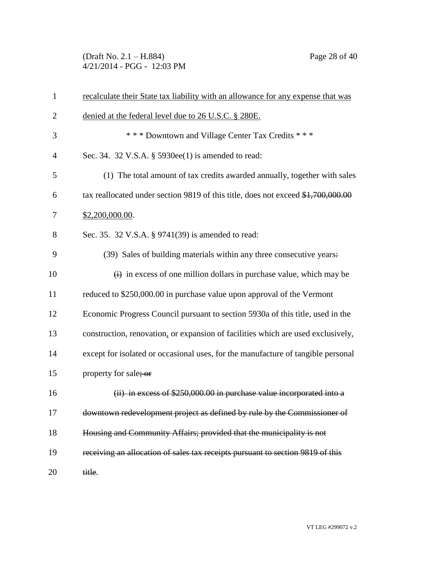(Draft No. 2.1 – H.884) Page 28 of 40 4/21/2014 - PGG - 12:03 PM

| $\mathbf{1}$   | recalculate their State tax liability with an allowance for any expense that was      |
|----------------|---------------------------------------------------------------------------------------|
| $\overline{2}$ | denied at the federal level due to 26 U.S.C. § 280E.                                  |
| 3              | *** Downtown and Village Center Tax Credits ***                                       |
| 4              | Sec. 34. 32 V.S.A. § 5930ee(1) is amended to read:                                    |
| 5              | (1) The total amount of tax credits awarded annually, together with sales             |
| 6              | tax reallocated under section 9819 of this title, does not exceed \$1,700,000.00      |
| 7              | \$2,200,000.00.                                                                       |
| 8              | Sec. 35. 32 V.S.A. § 9741(39) is amended to read:                                     |
| 9              | (39) Sales of building materials within any three consecutive years:                  |
| 10             | $\overrightarrow{H}$ in excess of one million dollars in purchase value, which may be |
| 11             | reduced to \$250,000.00 in purchase value upon approval of the Vermont                |
| 12             | Economic Progress Council pursuant to section 5930a of this title, used in the        |
| 13             | construction, renovation, or expansion of facilities which are used exclusively,      |
| 14             | except for isolated or occasional uses, for the manufacture of tangible personal      |
| 15             | property for sale; or                                                                 |
| 16             | (ii) in excess of \$250,000.00 in purchase value incorporated into a                  |
| 17             | downtown redevelopment project as defined by rule by the Commissioner of              |
| 18             | Housing and Community Affairs; provided that the municipality is not                  |
| 19             | receiving an allocation of sales tax receipts pursuant to section 9819 of this        |
| 20             | title.                                                                                |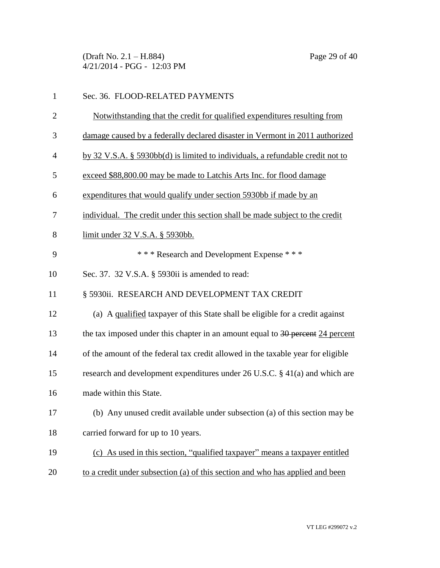(Draft No. 2.1 – H.884) Page 29 of 40 4/21/2014 - PGG - 12:03 PM

| $\mathbf{1}$   | Sec. 36. FLOOD-RELATED PAYMENTS                                                  |
|----------------|----------------------------------------------------------------------------------|
| $\overline{2}$ | Notwithstanding that the credit for qualified expenditures resulting from        |
| 3              | damage caused by a federally declared disaster in Vermont in 2011 authorized     |
| $\overline{4}$ | by 32 V.S.A. § 5930bb(d) is limited to individuals, a refundable credit not to   |
| 5              | exceed \$88,800.00 may be made to Latchis Arts Inc. for flood damage             |
| 6              | expenditures that would qualify under section 5930bb if made by an               |
| 7              | individual. The credit under this section shall be made subject to the credit    |
| 8              | limit under 32 V.S.A. § 5930bb.                                                  |
| 9              | *** Research and Development Expense ***                                         |
| 10             | Sec. 37. 32 V.S.A. § 5930ii is amended to read:                                  |
| 11             | § 5930ii. RESEARCH AND DEVELOPMENT TAX CREDIT                                    |
| 12             | (a) A qualified taxpayer of this State shall be eligible for a credit against    |
| 13             | the tax imposed under this chapter in an amount equal to 30 percent 24 percent   |
| 14             | of the amount of the federal tax credit allowed in the taxable year for eligible |
| 15             | research and development expenditures under 26 U.S.C. § 41(a) and which are      |
| 16             | made within this State.                                                          |
| 17             | (b) Any unused credit available under subsection (a) of this section may be      |
| 18             | carried forward for up to 10 years.                                              |
| 19             | (c) As used in this section, "qualified taxpayer" means a taxpayer entitled      |
| 20             | to a credit under subsection (a) of this section and who has applied and been    |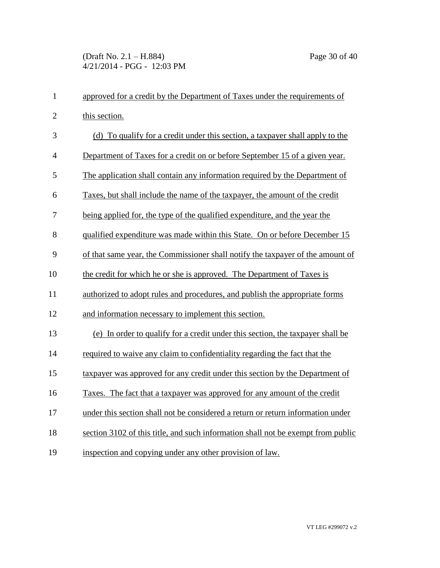| $\mathbf{1}$   | approved for a credit by the Department of Taxes under the requirements of       |
|----------------|----------------------------------------------------------------------------------|
| $\overline{2}$ | this section.                                                                    |
| 3              | (d) To qualify for a credit under this section, a taxpayer shall apply to the    |
| $\overline{4}$ | Department of Taxes for a credit on or before September 15 of a given year.      |
| 5              | The application shall contain any information required by the Department of      |
| 6              | Taxes, but shall include the name of the taxpayer, the amount of the credit      |
| 7              | being applied for, the type of the qualified expenditure, and the year the       |
| 8              | qualified expenditure was made within this State. On or before December 15       |
| 9              | of that same year, the Commissioner shall notify the taxpayer of the amount of   |
| 10             | the credit for which he or she is approved. The Department of Taxes is           |
| 11             | authorized to adopt rules and procedures, and publish the appropriate forms      |
| 12             | and information necessary to implement this section.                             |
| 13             | (e) In order to qualify for a credit under this section, the taxpayer shall be   |
| 14             | required to waive any claim to confidentiality regarding the fact that the       |
| 15             | taxpayer was approved for any credit under this section by the Department of     |
| 16             | Taxes. The fact that a taxpayer was approved for any amount of the credit        |
| 17             | under this section shall not be considered a return or return information under  |
| 18             | section 3102 of this title, and such information shall not be exempt from public |
| 19             | inspection and copying under any other provision of law.                         |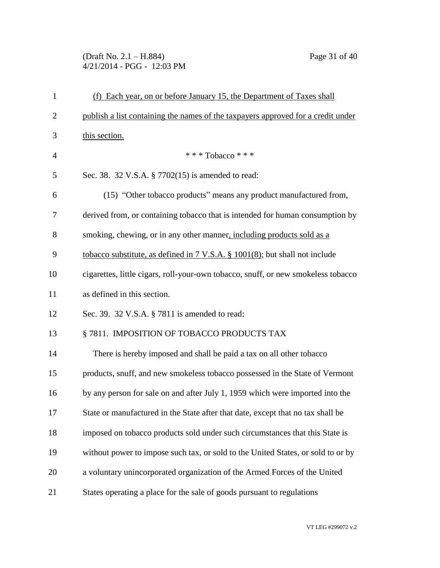(Draft No. 2.1 – H.884) Page 31 of 40 4/21/2014 - PGG - 12:03 PM

| $\mathbf{1}$   | (f) Each year, on or before January 15, the Department of Taxes shall                    |
|----------------|------------------------------------------------------------------------------------------|
| $\overline{2}$ | publish a list containing the names of the taxpayers approved for a credit under         |
| 3              | this section.                                                                            |
| $\overline{4}$ | * * * Tobacco * * *                                                                      |
| 5              | Sec. 38. 32 V.S.A. § 7702(15) is amended to read:                                        |
| 6              | (15) "Other tobacco products" means any product manufactured from,                       |
| 7              | derived from, or containing tobacco that is intended for human consumption by            |
| 8              | smoking, chewing, or in any other manner, including products sold as a                   |
| 9              | tobacco substitute, as defined in $7 \text{ V.S.A.}$ § $1001(8)$ ; but shall not include |
| 10             | cigarettes, little cigars, roll-your-own tobacco, snuff, or new smokeless tobacco        |
| 11             | as defined in this section.                                                              |
| 12             | Sec. 39. 32 V.S.A. § 7811 is amended to read:                                            |
| 13             | § 7811. IMPOSITION OF TOBACCO PRODUCTS TAX                                               |
| 14             | There is hereby imposed and shall be paid a tax on all other tobacco                     |
| 15             | products, snuff, and new smokeless tobacco possessed in the State of Vermont             |
| 16             | by any person for sale on and after July 1, 1959 which were imported into the            |
| 17             | State or manufactured in the State after that date, except that no tax shall be          |
| 18             | imposed on tobacco products sold under such circumstances that this State is             |
| 19             | without power to impose such tax, or sold to the United States, or sold to or by         |
| 20             | a voluntary unincorporated organization of the Armed Forces of the United                |
| 21             | States operating a place for the sale of goods pursuant to regulations                   |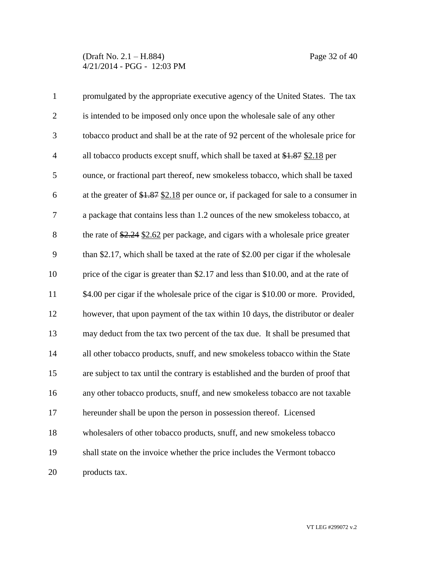#### (Draft No. 2.1 – H.884) Page 32 of 40 4/21/2014 - PGG - 12:03 PM

| $\mathbf{1}$   | promulgated by the appropriate executive agency of the United States. The tax         |
|----------------|---------------------------------------------------------------------------------------|
| $\overline{2}$ | is intended to be imposed only once upon the wholesale sale of any other              |
| 3              | tobacco product and shall be at the rate of 92 percent of the wholesale price for     |
| $\overline{4}$ | all tobacco products except snuff, which shall be taxed at $$1.87$ $$2.18$ per        |
| 5              | ounce, or fractional part thereof, new smokeless tobacco, which shall be taxed        |
| 6              | at the greater of $$1.87$ $$2.18$ per ounce or, if packaged for sale to a consumer in |
| $\tau$         | a package that contains less than 1.2 ounces of the new smokeless tobacco, at         |
| $8\,$          | the rate of $2.24$ $2.62$ per package, and cigars with a wholesale price greater      |
| 9              | than \$2.17, which shall be taxed at the rate of \$2.00 per cigar if the wholesale    |
| 10             | price of the cigar is greater than \$2.17 and less than \$10.00, and at the rate of   |
| 11             | \$4.00 per cigar if the wholesale price of the cigar is \$10.00 or more. Provided,    |
| 12             | however, that upon payment of the tax within 10 days, the distributor or dealer       |
| 13             | may deduct from the tax two percent of the tax due. It shall be presumed that         |
| 14             | all other tobacco products, snuff, and new smokeless tobacco within the State         |
| 15             | are subject to tax until the contrary is established and the burden of proof that     |
| 16             | any other tobacco products, snuff, and new smokeless tobacco are not taxable          |
| 17             | hereunder shall be upon the person in possession thereof. Licensed                    |
| 18             | wholesalers of other tobacco products, snuff, and new smokeless tobacco               |
| 19             | shall state on the invoice whether the price includes the Vermont tobacco             |
| 20             | products tax.                                                                         |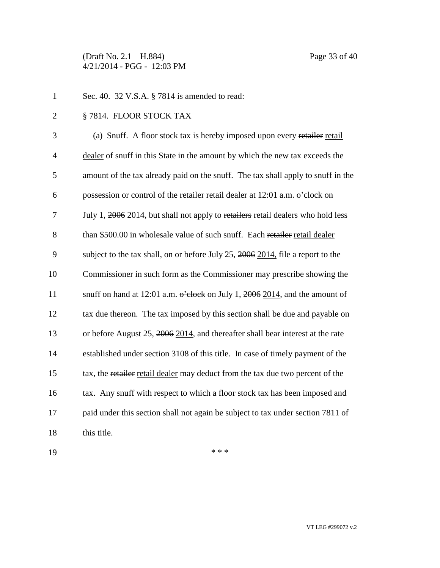(Draft No. 2.1 – H.884) Page 33 of 40 4/21/2014 - PGG - 12:03 PM

1 Sec. 40. 32 V.S.A. § 7814 is amended to read:

2 § 7814. FLOOR STOCK TAX

 (a) Snuff. A floor stock tax is hereby imposed upon every retailer retail dealer of snuff in this State in the amount by which the new tax exceeds the amount of the tax already paid on the snuff. The tax shall apply to snuff in the 6 possession or control of the retailer retail dealer at  $12:01$  a.m. o-clock on July 1, 2006 2014, but shall not apply to retailers retail dealers who hold less 8 than \$500.00 in wholesale value of such snuff. Each retailer retail dealer subject to the tax shall, on or before July 25, 2006 2014, file a report to the Commissioner in such form as the Commissioner may prescribe showing the 11 snuff on hand at 12:01 a.m. o'clock on July 1, 2006 2014, and the amount of tax due thereon. The tax imposed by this section shall be due and payable on or before August 25, 2006 2014, and thereafter shall bear interest at the rate established under section 3108 of this title. In case of timely payment of the tax, the retailer retail dealer may deduct from the tax due two percent of the tax. Any snuff with respect to which a floor stock tax has been imposed and 17 paid under this section shall not again be subject to tax under section 7811 of 18 this title.

 $19$  \*\*\*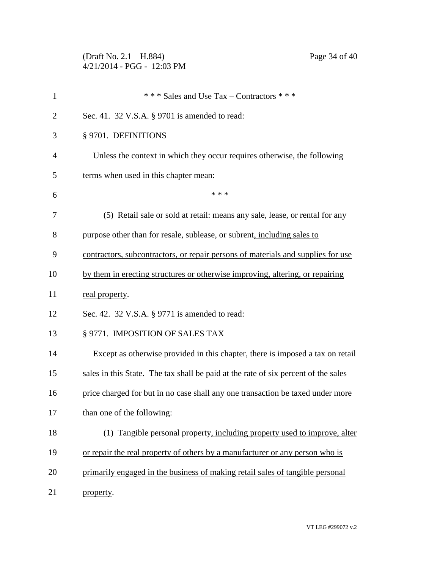(Draft No. 2.1 – H.884) Page 34 of 40 4/21/2014 - PGG - 12:03 PM

| 1              | *** Sales and Use Tax – Contractors ***                                            |
|----------------|------------------------------------------------------------------------------------|
| $\overline{2}$ | Sec. 41. 32 V.S.A. § 9701 is amended to read:                                      |
| 3              | § 9701. DEFINITIONS                                                                |
| 4              | Unless the context in which they occur requires otherwise, the following           |
| 5              | terms when used in this chapter mean:                                              |
| 6              | * * *                                                                              |
| 7              | (5) Retail sale or sold at retail: means any sale, lease, or rental for any        |
| 8              | purpose other than for resale, sublease, or subrent, including sales to            |
| 9              | contractors, subcontractors, or repair persons of materials and supplies for use   |
| 10             | by them in erecting structures or otherwise improving, altering, or repairing      |
| 11             | real property.                                                                     |
| 12             | Sec. 42. 32 V.S.A. § 9771 is amended to read:                                      |
| 13             | § 9771. IMPOSITION OF SALES TAX                                                    |
| 14             | Except as otherwise provided in this chapter, there is imposed a tax on retail     |
| 15             | sales in this State. The tax shall be paid at the rate of six percent of the sales |
| 16             | price charged for but in no case shall any one transaction be taxed under more     |
| 17             | than one of the following:                                                         |
| 18             | (1) Tangible personal property, including property used to improve, alter          |
| 19             | or repair the real property of others by a manufacturer or any person who is       |
| 20             | primarily engaged in the business of making retail sales of tangible personal      |
| 21             | property.                                                                          |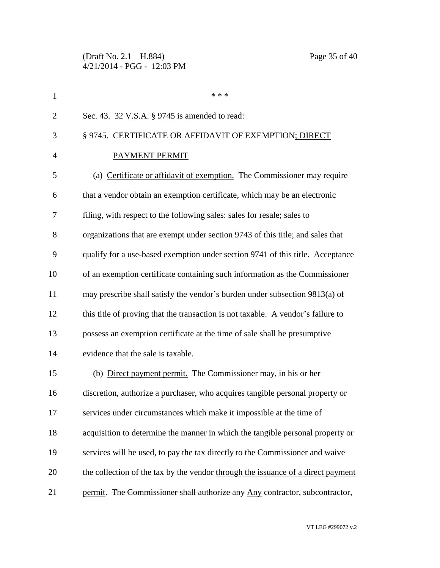(Draft No. 2.1 – H.884) Page 35 of 40 4/21/2014 - PGG - 12:03 PM

| $\mathbf{1}$   | * * *                                                                            |
|----------------|----------------------------------------------------------------------------------|
| $\overline{2}$ | Sec. 43. 32 V.S.A. § 9745 is amended to read:                                    |
| 3              | § 9745. CERTIFICATE OR AFFIDAVIT OF EXEMPTION; DIRECT                            |
| $\overline{4}$ | PAYMENT PERMIT                                                                   |
| 5              | (a) Certificate or affidavit of exemption. The Commissioner may require          |
| 6              | that a vendor obtain an exemption certificate, which may be an electronic        |
| 7              | filing, with respect to the following sales: sales for resale; sales to          |
| 8              | organizations that are exempt under section 9743 of this title; and sales that   |
| 9              | qualify for a use-based exemption under section 9741 of this title. Acceptance   |
| 10             | of an exemption certificate containing such information as the Commissioner      |
| 11             | may prescribe shall satisfy the vendor's burden under subsection 9813(a) of      |
| 12             | this title of proving that the transaction is not taxable. A vendor's failure to |
| 13             | possess an exemption certificate at the time of sale shall be presumptive        |
| 14             | evidence that the sale is taxable.                                               |
| 15             | (b) Direct payment permit. The Commissioner may, in his or her                   |
| 16             | discretion, authorize a purchaser, who acquires tangible personal property or    |
| 17             | services under circumstances which make it impossible at the time of             |
| 18             | acquisition to determine the manner in which the tangible personal property or   |
| 19             | services will be used, to pay the tax directly to the Commissioner and waive     |
| 20             | the collection of the tax by the vendor through the issuance of a direct payment |
| 21             | permit. The Commissioner shall authorize any Any contractor, subcontractor,      |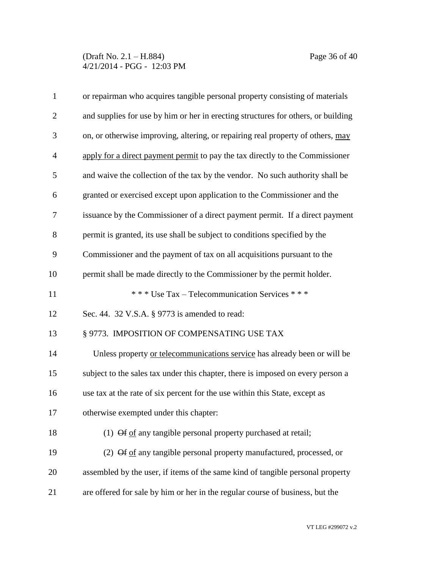(Draft No. 2.1 – H.884) Page 36 of 40 4/21/2014 - PGG - 12:03 PM

| $\mathbf{1}$   | or repairman who acquires tangible personal property consisting of materials      |
|----------------|-----------------------------------------------------------------------------------|
| $\overline{2}$ | and supplies for use by him or her in erecting structures for others, or building |
| 3              | on, or otherwise improving, altering, or repairing real property of others, may   |
| $\overline{4}$ | apply for a direct payment permit to pay the tax directly to the Commissioner     |
| 5              | and waive the collection of the tax by the vendor. No such authority shall be     |
| 6              | granted or exercised except upon application to the Commissioner and the          |
| 7              | issuance by the Commissioner of a direct payment permit. If a direct payment      |
| 8              | permit is granted, its use shall be subject to conditions specified by the        |
| 9              | Commissioner and the payment of tax on all acquisitions pursuant to the           |
| 10             | permit shall be made directly to the Commissioner by the permit holder.           |
| 11             | *** Use Tax – Telecommunication Services ***                                      |
| 12             | Sec. 44. 32 V.S.A. § 9773 is amended to read:                                     |
| 13             | § 9773. IMPOSITION OF COMPENSATING USE TAX                                        |
| 14             | Unless property or telecommunications service has already been or will be         |
| 15             | subject to the sales tax under this chapter, there is imposed on every person a   |
| 16             | use tax at the rate of six percent for the use within this State, except as       |
| 17             | otherwise exempted under this chapter:                                            |
| 18             | (1) Of of any tangible personal property purchased at retail;                     |
| 19             | (2) Of of any tangible personal property manufactured, processed, or              |
| 20             | assembled by the user, if items of the same kind of tangible personal property    |
|                | are offered for sale by him or her in the regular course of business, but the     |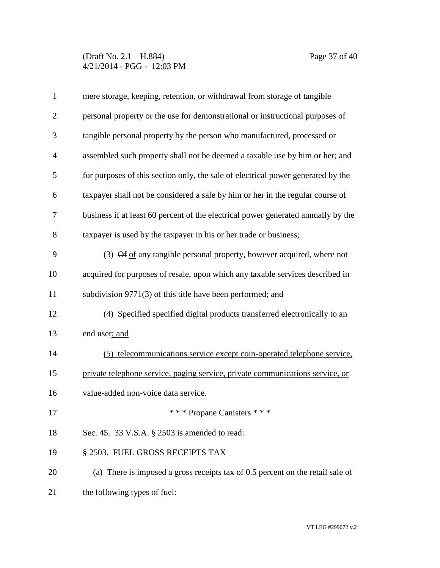(Draft No. 2.1 – H.884) Page 37 of 40 4/21/2014 - PGG - 12:03 PM

| $\mathbf{1}$   | mere storage, keeping, retention, or withdrawal from storage of tangible          |
|----------------|-----------------------------------------------------------------------------------|
| $\overline{2}$ | personal property or the use for demonstrational or instructional purposes of     |
| 3              | tangible personal property by the person who manufactured, processed or           |
| $\overline{4}$ | assembled such property shall not be deemed a taxable use by him or her; and      |
| 5              | for purposes of this section only, the sale of electrical power generated by the  |
| 6              | taxpayer shall not be considered a sale by him or her in the regular course of    |
| 7              | business if at least 60 percent of the electrical power generated annually by the |
| 8              | taxpayer is used by the taxpayer in his or her trade or business;                 |
| 9              | (3) Of of any tangible personal property, however acquired, where not             |
| 10             | acquired for purposes of resale, upon which any taxable services described in     |
| 11             | subdivision $9771(3)$ of this title have been performed; and                      |
| 12             | (4) Specified specified digital products transferred electronically to an         |
| 13             | end user; and                                                                     |
| 14             | (5) telecommunications service except coin-operated telephone service,            |
| 15             | private telephone service, paging service, private communications service, or     |
| 16             | value-added non-voice data service.                                               |
| 17             | * * * Propane Canisters * * *                                                     |
| 18             | Sec. 45. 33 V.S.A. § 2503 is amended to read:                                     |
| 19             | § 2503. FUEL GROSS RECEIPTS TAX                                                   |
| 20             | (a) There is imposed a gross receipts tax of $0.5$ percent on the retail sale of  |
| 21             | the following types of fuel:                                                      |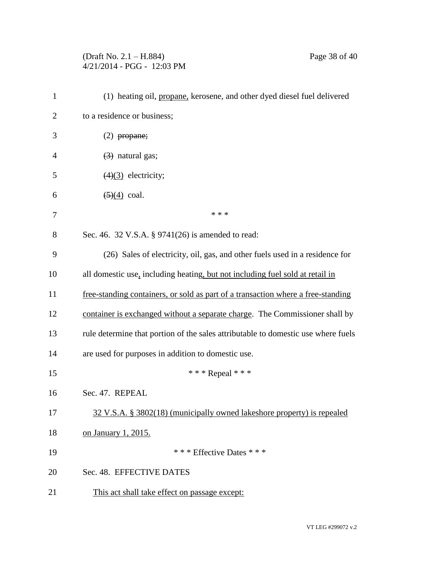# (Draft No. 2.1 – H.884) Page 38 of 40 4/21/2014 - PGG - 12:03 PM

| 1              | (1) heating oil, propane, kerosene, and other dyed diesel fuel delivered          |
|----------------|-----------------------------------------------------------------------------------|
| $\overline{2}$ | to a residence or business;                                                       |
| 3              | $(2)$ propane;                                                                    |
| 4              | $(3)$ natural gas;                                                                |
| 5              | $\left(4\right)\left(3\right)$ electricity;                                       |
| 6              | $\left( \frac{5}{4} \right)$ coal.                                                |
| 7              | * * *                                                                             |
| 8              | Sec. 46. 32 V.S.A. § 9741(26) is amended to read:                                 |
| 9              | (26) Sales of electricity, oil, gas, and other fuels used in a residence for      |
| 10             | all domestic use, including heating, but not including fuel sold at retail in     |
| 11             | free-standing containers, or sold as part of a transaction where a free-standing  |
| 12             | container is exchanged without a separate charge. The Commissioner shall by       |
| 13             | rule determine that portion of the sales attributable to domestic use where fuels |
| 14             | are used for purposes in addition to domestic use.                                |
| 15             | *** Repeal ***                                                                    |
| 16             | Sec. 47. REPEAL                                                                   |
| 17             | 32 V.S.A. § 3802(18) (municipally owned lakeshore property) is repealed           |
| 18             | on January 1, 2015.                                                               |
| 19             | * * * Effective Dates * * *                                                       |
| 20             | Sec. 48. EFFECTIVE DATES                                                          |
| 21             | This act shall take effect on passage except:                                     |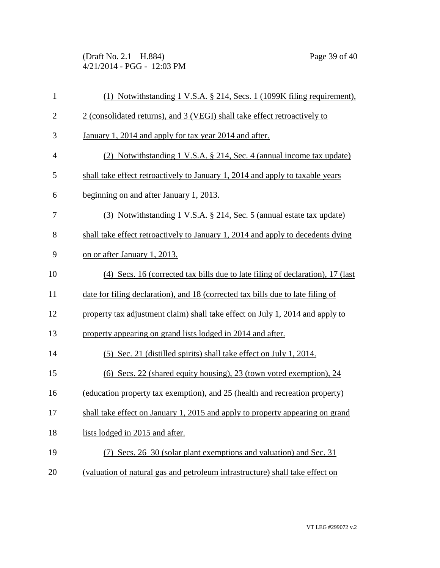(Draft No. 2.1 – H.884) Page 39 of 40 4/21/2014 - PGG - 12:03 PM

| $\mathbf{1}$   | (1) Notwithstanding 1 V.S.A. § 214, Secs. 1 (1099K filing requirement),         |
|----------------|---------------------------------------------------------------------------------|
| $\overline{2}$ | 2 (consolidated returns), and 3 (VEGI) shall take effect retroactively to       |
| 3              | January 1, 2014 and apply for tax year 2014 and after.                          |
| $\overline{4}$ | (2) Notwithstanding 1 V.S.A. § 214, Sec. 4 (annual income tax update)           |
| 5              | shall take effect retroactively to January 1, 2014 and apply to taxable years   |
| 6              | beginning on and after January 1, 2013.                                         |
| $\tau$         | (3) Notwithstanding 1 V.S.A. § 214, Sec. 5 (annual estate tax update)           |
| 8              | shall take effect retroactively to January 1, 2014 and apply to decedents dying |
| 9              | on or after January 1, 2013.                                                    |
| 10             | (4) Secs. 16 (corrected tax bills due to late filing of declaration), 17 (last  |
| 11             | date for filing declaration), and 18 (corrected tax bills due to late filing of |
| 12             | property tax adjustment claim) shall take effect on July 1, 2014 and apply to   |
| 13             | property appearing on grand lists lodged in 2014 and after.                     |
| 14             | (5) Sec. 21 (distilled spirits) shall take effect on July 1, 2014.              |
| 15             | (6) Secs. 22 (shared equity housing), 23 (town voted exemption), 24             |
| 16             | (education property tax exemption), and 25 (health and recreation property)     |
| 17             | shall take effect on January 1, 2015 and apply to property appearing on grand   |
| 18             | lists lodged in 2015 and after.                                                 |
| 19             | (7) Secs. 26–30 (solar plant exemptions and valuation) and Sec. 31              |
| 20             | (valuation of natural gas and petroleum infrastructure) shall take effect on    |